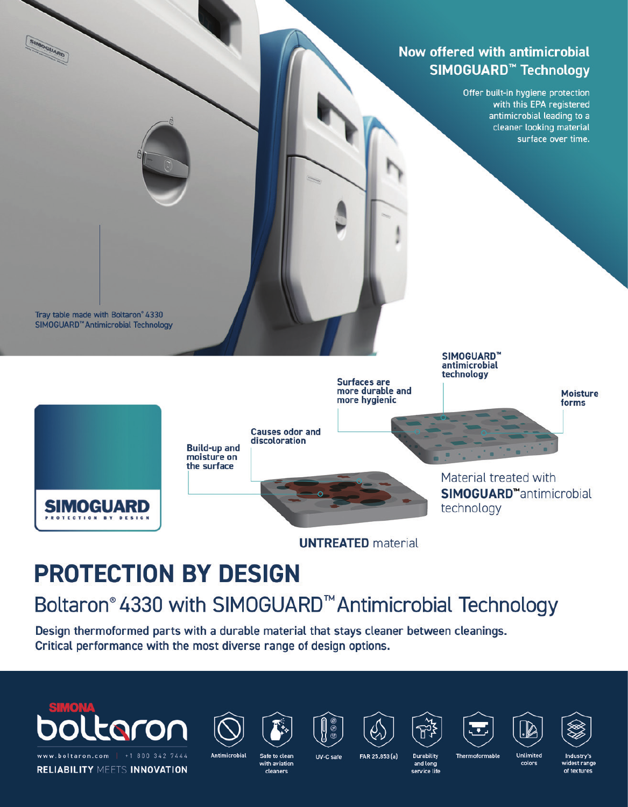### Now offered with antimicrobial **SIMOGUARD™ Technology**

Offer built-in hygiene protection with this EPA registered antimicrobial leading to a cleaner looking material surface over time.

Tray table made with Boltaron® 4330 SIMOGUARD™ Antimicrobial Technology



**UNTREATED** material

# **PROTECTION BY DESIGN**

# Boltaron® 4330 with SIMOGUARD<sup>™</sup> Antimicrobial Technology

Design thermoformed parts with a durable material that stays cleaner between cleanings. Critical performance with the most diverse range of design options.



 $+18003427444$ .boltaron.com **RELIABILITY MEETS INNOVATION** 



with aviation

cleaners



UV-C safe



FAR 25.853 (a)





Durability

and long

service life



Thermoformable





Unlimited colors

Industry's widest range of textures